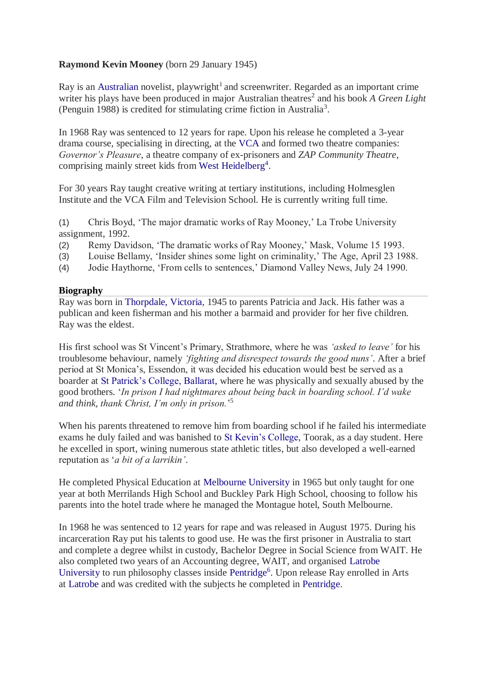## **Raymond Kevin Mooney** (born 29 January 1945)

Ray is an [Australian](https://en.wikipedia.org/wiki/Australian) novelist, playwright<sup>1</sup> and screenwriter. Regarded as an important crime writer his plays have been produced in major Australian theatres<sup>2</sup> and his book A Green Light (Penguin 1988) is credited for stimulating crime fiction in Australia<sup>3</sup>.

In 1968 Ray was sentenced to 12 years for rape. Upon his release he completed a 3-year drama course, specialising in directing, at the [VCA](https://en.wikipedia.org/wiki/Victorian_College_of_the_Arts) and formed two theatre companies: *Governor's Pleasure*, a theatre company of ex-prisoners and *ZAP Community Theatre*, comprising mainly street kids from [West Heidelberg](https://en.wikipedia.org/wiki/Heidelberg_West,_Victoria)<sup>4</sup>.

For 30 years Ray taught creative writing at tertiary institutions, including Holmesglen Institute and the VCA Film and Television School. He is currently writing full time.

(1) Chris Boyd, 'The major dramatic works of Ray Mooney,' La Trobe University assignment, 1992.

- (2) Remy Davidson, 'The dramatic works of Ray Mooney,' Mask, Volume 15 1993.
- (3) Louise Bellamy, 'Insider shines some light on criminality,' The Age, April 23 1988.
- (4) Jodie Haythorne, 'From cells to sentences,' Diamond Valley News, July 24 1990.

## **Biography**

Ray was born in [Thorpdale, Victoria,](https://en.wikipedia.org/wiki/Thorpdale,_Victoria) 1945 to parents Patricia and Jack. His father was a publican and keen fisherman and his mother a barmaid and provider for her five children. Ray was the eldest.

His first school was St Vincent's Primary, Strathmore, where he was *'asked to leave'* for his troublesome behaviour, namely *'fighting and disrespect towards the good nuns'*. After a brief period at St Monica's, Essendon, it was decided his education would best be served as a boarder at [St Patrick's College, Ballarat,](https://en.wikipedia.org/wiki/St_Patrick%27s_College,_Ballarat) where he was physically and sexually abused by the good brothers. '*In prison I had nightmares about being back in boarding school. I'd wake and think, thank Christ, I'm only in prison.*' 5

When his parents threatened to remove him from boarding school if he failed his intermediate exams he duly failed and was banished to [St Kevin's College,](https://en.wikipedia.org/wiki/St_Kevin%27s_College,_Melbourne) Toorak, as a day student. Here he excelled in sport, wining numerous state athletic titles, but also developed a well-earned reputation as '*a bit of a larrikin'*.

He completed Physical Education at [Melbourne University](https://en.wikipedia.org/wiki/Melbourne_University) in 1965 but only taught for one year at both Merrilands High School and Buckley Park High School, choosing to follow his parents into the hotel trade where he managed the Montague hotel, South Melbourne.

In 1968 he was sentenced to 12 years for rape and was released in August 1975. During his incarceration Ray put his talents to good use. He was the first prisoner in Australia to start and complete a degree whilst in custody, Bachelor Degree in Social Science from WAIT. He also completed two years of an Accounting degree, WAIT, and organised [Latrobe](https://en.wikipedia.org/wiki/Latrobe_University)  [University](https://en.wikipedia.org/wiki/Latrobe_University) to run philosophy classes inside [Pentridge](https://en.wikipedia.org/wiki/HM_Prison_Pentridge)<sup>6</sup>. Upon release Ray enrolled in Arts at [Latrobe](https://en.wikipedia.org/wiki/Latrobe_University) and was credited with the subjects he completed in [Pentridge.](https://en.wikipedia.org/wiki/HM_Prison_Pentridge)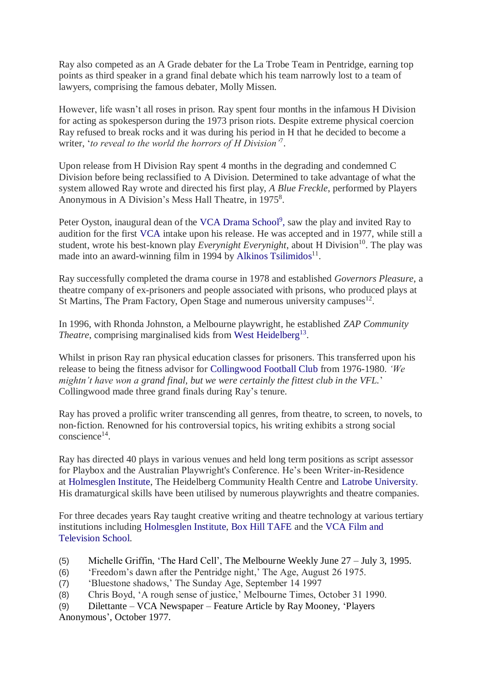Ray also competed as an A Grade debater for the La Trobe Team in Pentridge, earning top points as third speaker in a grand final debate which his team narrowly lost to a team of lawyers, comprising the famous debater, Molly Missen.

However, life wasn't all roses in prison. Ray spent four months in the infamous H Division for acting as spokesperson during the 1973 prison riots. Despite extreme physical coercion Ray refused to break rocks and it was during his period in H that he decided to become a writer, '*to reveal to the world the horrors of H Division'*<sup>7</sup> .

Upon release from H Division Ray spent 4 months in the degrading and condemned C Division before being reclassified to A Division. Determined to take advantage of what the system allowed Ray wrote and directed his first play, *A Blue Freckle*, performed by Players Anonymous in A Division's Mess Hall Theatre, in 1975<sup>8</sup>.

Peter Oyston, inaugural dean of the [VCA Drama School](https://en.wikipedia.org/wiki/Victorian_College_of_the_Arts)<sup>9</sup>, saw the play and invited Ray to audition for the first [VCA](https://en.wikipedia.org/wiki/Victorian_College_of_the_Arts) intake upon his release. He was accepted and in 1977, while still a student, wrote his best-known play *Everynight Everynight*, about H Division<sup>10</sup>. The play was made into an award-winning film in 1994 by [Alkinos Tsilimidos](https://en.wikipedia.org/wiki/Alkinos_Tsilimidos)<sup>11</sup>.

Ray successfully completed the drama course in 1978 and established *Governors Pleasure*, a theatre company of ex-prisoners and people associated with prisons, who produced plays at St Martins, The Pram Factory, Open Stage and numerous university campuses $^{12}$ .

In 1996, with Rhonda Johnston, a Melbourne playwright, he established *ZAP Community*  Theatre, comprising marginalised kids from [West Heidelberg](https://en.wikipedia.org/wiki/Heidelberg_West,_Victoria)<sup>13</sup>.

Whilst in prison Ray ran physical education classes for prisoners. This transferred upon his release to being the fitness advisor for [Collingwood Football Club](https://en.wikipedia.org/wiki/Collingwood_Football_Club) from 1976-1980. *'We mightn't have won a grand final, but we were certainly the fittest club in the VFL.*' Collingwood made three grand finals during Ray's tenure.

Ray has proved a prolific writer transcending all genres, from theatre, to screen, to novels, to non-fiction. Renowned for his controversial topics, his writing exhibits a strong social conscience<sup>14</sup>.

Ray has directed 40 plays in various venues and held long term positions as script assessor for Playbox and the Australian Playwright's Conference. He's been Writer-in-Residence at [Holmesglen Institute,](https://en.wikipedia.org/wiki/Holmesglen_Institute_of_TAFE) The Heidelberg Community Health Centre and [Latrobe University.](https://en.wikipedia.org/wiki/Latrobe_University) His dramaturgical skills have been utilised by numerous playwrights and theatre companies.

For three decades years Ray taught creative writing and theatre technology at various tertiary institutions including [Holmesglen Institute,](https://en.wikipedia.org/wiki/Holmesglen_Institute_of_TAFE) [Box Hill TAFE](https://en.wikipedia.org/wiki/Box_Hill_TAFE) and the [VCA Film and](https://en.wikipedia.org/wiki/Victorian_College_of_the_Arts)  [Television School.](https://en.wikipedia.org/wiki/Victorian_College_of_the_Arts)

- (5) Michelle Griffin, 'The Hard Cell', The Melbourne Weekly June 27 July 3, 1995.
- (6) 'Freedom's dawn after the Pentridge night,' The Age, August 26 1975.
- (7) 'Bluestone shadows,' The Sunday Age, September 14 1997
- (8) Chris Boyd, 'A rough sense of justice,' Melbourne Times, October 31 1990.
- (9) Dilettante VCA Newspaper Feature Article by Ray Mooney, 'Players Anonymous', October 1977.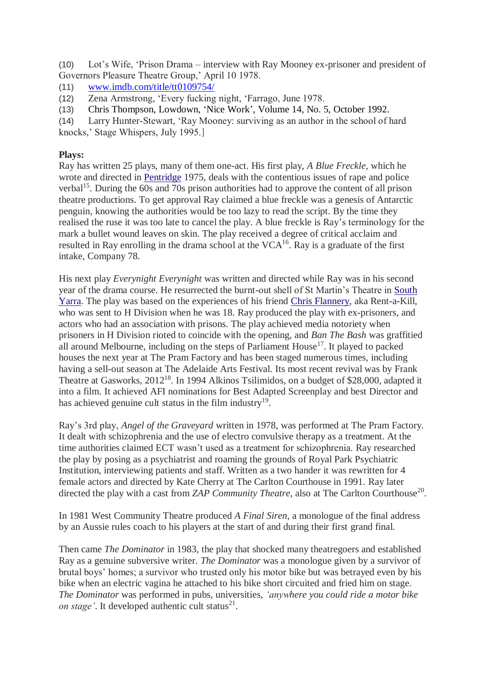(10) Lot's Wife, 'Prison Drama – interview with Ray Mooney ex-prisoner and president of Governors Pleasure Theatre Group,' April 10 1978.

(11) [www.imdb.com/title/tt0109754/](http://www.imdb.com/title/tt0109754/)

(12) Zena Armstrong, 'Every fucking night, 'Farrago, June 1978.

(13) Chris Thompson, Lowdown, 'Nice Work', Volume 14, No. 5, October 1992.

(14) Larry Hunter-Stewart, 'Ray Mooney: surviving as an author in the school of hard knocks,' Stage Whispers, July 1995.]

**Plays:**

Ray has written 25 plays, many of them one-act. His first play, *A Blue Freckle*, which he wrote and directed in [Pentridge](https://en.wikipedia.org/wiki/HM_Prison_Pentridge) 1975, deals with the contentious issues of rape and police verbal<sup>15</sup>. During the 60s and 70s prison authorities had to approve the content of all prison theatre productions. To get approval Ray claimed a blue freckle was a genesis of Antarctic penguin, knowing the authorities would be too lazy to read the script. By the time they realised the ruse it was too late to cancel the play. A blue freckle is Ray's terminology for the mark a bullet wound leaves on skin. The play received a degree of critical acclaim and resulted in Ray enrolling in the drama school at the  $VCA^{16}$ . Ray is a graduate of the first intake, Company 78.

His next play *Everynight Everynight* was written and directed while Ray was in his second year of the drama course. He resurrected the burnt-out shell of St Martin's Theatre in [South](https://en.wikipedia.org/wiki/South_Yarra,_Victoria)  [Yarra.](https://en.wikipedia.org/wiki/South_Yarra,_Victoria) The play was based on the experiences of his friend [Chris Flannery,](https://en.wikipedia.org/wiki/Christopher_Dale_Flannery) aka Rent-a-Kill, who was sent to H Division when he was 18. Ray produced the play with ex-prisoners, and actors who had an association with prisons. The play achieved media notoriety when prisoners in H Division rioted to coincide with the opening, and *Ban The Bash* was graffitied all around Melbourne, including on the steps of Parliament House<sup>17</sup>. It played to packed houses the next year at The Pram Factory and has been staged numerous times, including having a sell-out season at The Adelaide Arts Festival. Its most recent revival was by Frank Theatre at Gasworks, 2012<sup>18</sup>. In 1994 Alkinos Tsilimidos, on a budget of \$28,000, adapted it into a film. It achieved AFI nominations for Best Adapted Screenplay and best Director and has achieved genuine cult status in the film industry<sup>19</sup>.

Ray's 3rd play, *Angel of the Graveyard* written in 1978, was performed at The Pram Factory. It dealt with schizophrenia and the use of electro convulsive therapy as a treatment. At the time authorities claimed ECT wasn't used as a treatment for schizophrenia. Ray researched the play by posing as a psychiatrist and roaming the grounds of Royal Park Psychiatric Institution, interviewing patients and staff. Written as a two hander it was rewritten for 4 female actors and directed by Kate Cherry at The Carlton Courthouse in 1991. Ray later directed the play with a cast from *ZAP Community Theatre*, also at The Carlton Courthouse<sup>20</sup>.

In 1981 West Community Theatre produced *A Final Siren*, a monologue of the final address by an Aussie rules coach to his players at the start of and during their first grand final.

Then came *The Dominator* in 1983, the play that shocked many theatregoers and established Ray as a genuine subversive writer. *The Dominator* was a monologue given by a survivor of brutal boys' homes; a survivor who trusted only his motor bike but was betrayed even by his bike when an electric vagina he attached to his bike short circuited and fried him on stage. *The Dominator* was performed in pubs, universities, *'anywhere you could ride a motor bike on stage'*. It developed authentic cult status<sup>21</sup>.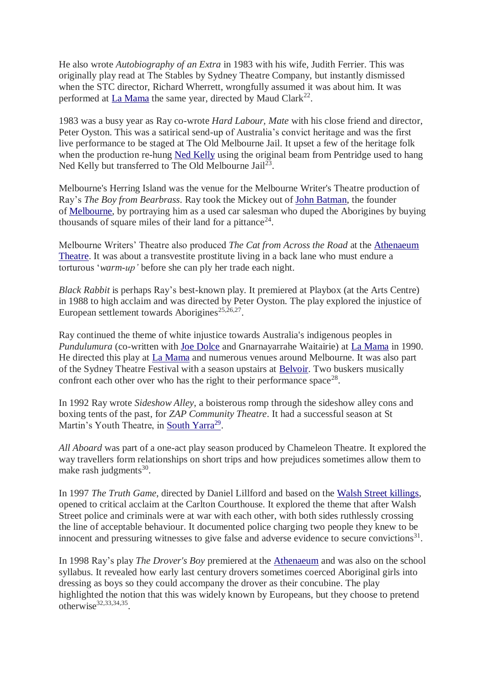He also wrote *Autobiography of an Extra* in 1983 with his wife, Judith Ferrier. This was originally play read at The Stables by Sydney Theatre Company, but instantly dismissed when the STC director, Richard Wherrett, wrongfully assumed it was about him. It was performed at [La Mama](https://en.wikipedia.org/wiki/La_Mama_Theatre_(Melbourne)) the same year, directed by Maud Clark<sup>22</sup>.

1983 was a busy year as Ray co-wrote *Hard Labour, Mate* with his close friend and director, Peter Oyston. This was a satirical send-up of Australia's convict heritage and was the first live performance to be staged at The Old Melbourne Jail. It upset a few of the heritage folk when the production re-hung [Ned Kelly](https://en.wikipedia.org/wiki/Ned_Kelly) using the original beam from Pentridge used to hang Ned Kelly but transferred to The Old Melbourne Jail<sup>23</sup>.

Melbourne's Herring Island was the venue for the Melbourne Writer's Theatre production of Ray's *The Boy from Bearbrass*. Ray took the Mickey out of [John Batman,](https://en.wikipedia.org/wiki/John_Batman) the founder of [Melbourne,](https://en.wikipedia.org/wiki/Melbourne) by portraying him as a used car salesman who duped the Aborigines by buying thousands of square miles of their land for a pittance<sup>24</sup>.

Melbourne Writers' Theatre also produced *The Cat from Across the Road* at the [Athenaeum](https://en.wikipedia.org/wiki/Melbourne_Athenaeum)  [Theatre.](https://en.wikipedia.org/wiki/Melbourne_Athenaeum) It was about a transvestite prostitute living in a back lane who must endure a torturous '*warm-up'* before she can ply her trade each night.

*Black Rabbit* is perhaps Ray's best-known play. It premiered at Playbox (at the Arts Centre) in 1988 to high acclaim and was directed by Peter Oyston. The play explored the injustice of European settlement towards Aborigines<sup>25,26,27</sup>.

Ray continued the theme of white injustice towards Australia's indigenous peoples in *Pundulumura* (co-written with [Joe Dolce](https://en.wikipedia.org/wiki/Joe_Dolce) and Gnarnayarrahe Waitairie) at [La Mama](https://en.wikipedia.org/wiki/La_Mama_Theatre_(Melbourne)) in 1990. He directed this play at [La Mama](https://en.wikipedia.org/wiki/La_Mama_Theatre_(Melbourne)) and numerous venues around Melbourne. It was also part of the Sydney Theatre Festival with a season upstairs at [Belvoir.](https://en.wikipedia.org/wiki/Belvoir_St_Theatre) Two buskers musically confront each other over who has the right to their performance space<sup>28</sup>.

In 1992 Ray wrote *Sideshow Alley*, a boisterous romp through the sideshow alley cons and boxing tents of the past, for *ZAP Community Theatre*. It had a successful season at St Martin's Youth Theatre, in [South Yarra](https://en.wikipedia.org/wiki/South_Yarra,_Victoria)<sup>29</sup>.

*All Aboard* was part of a one-act play season produced by Chameleon Theatre. It explored the way travellers form relationships on short trips and how prejudices sometimes allow them to make rash judgments $30$ .

In 1997 *The Truth Game*, directed by Daniel Lillford and based on the [Walsh Street killings,](https://en.wikipedia.org/wiki/Walsh_Street_police_shootings) opened to critical acclaim at the Carlton Courthouse. It explored the theme that after Walsh Street police and criminals were at war with each other, with both sides ruthlessly crossing the line of acceptable behaviour. It documented police charging two people they knew to be innocent and pressuring witnesses to give false and adverse evidence to secure convictions $31$ .

In 1998 Ray's play *The Drover's Boy* premiered at the [Athenaeum](https://en.wikipedia.org/wiki/Melbourne_Athenaeum) and was also on the school syllabus. It revealed how early last century drovers sometimes coerced Aboriginal girls into dressing as boys so they could accompany the drover as their concubine. The play highlighted the notion that this was widely known by Europeans, but they choose to pretend otherwise $32,33,34,35$ .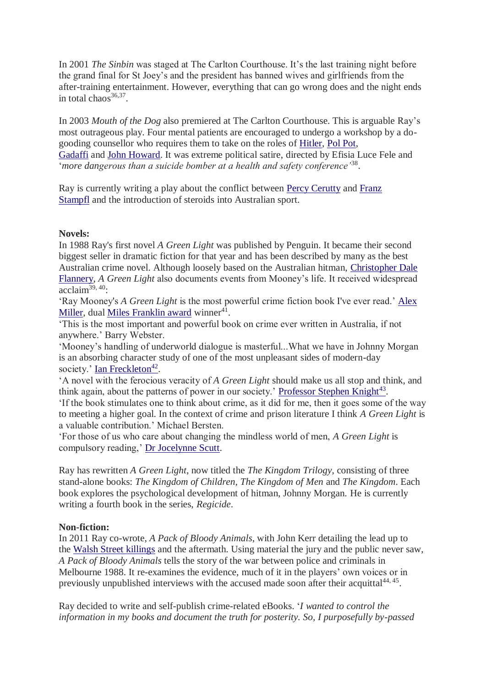In 2001 *The Sinbin* was staged at The Carlton Courthouse. It's the last training night before the grand final for St Joey's and the president has banned wives and girlfriends from the after-training entertainment. However, everything that can go wrong does and the night ends in total chaos $36,37$ .

In 2003 *Mouth of the Dog* also premiered at The Carlton Courthouse. This is arguable Ray's most outrageous play. Four mental patients are encouraged to undergo a workshop by a dogooding counsellor who requires them to take on the roles of [Hitler,](https://en.wikipedia.org/wiki/Adolf_Hitler) [Pol Pot,](https://en.wikipedia.org/wiki/Pol_Pot) [Gadaffi](https://en.wikipedia.org/wiki/Muammar_Gaddafi) and [John Howard.](https://en.wikipedia.org/wiki/John_Howard) It was extreme political satire, directed by Efisia Luce Fele and '*more dangerous than a suicide bomber at a health and safety conference'*<sup>38</sup> .

Ray is currently writing a play about the conflict between [Percy Cerutty](https://en.wikipedia.org/wiki/Percy_Cerutty) and [Franz](https://en.wikipedia.org/wiki/Franz_Stampfl)  [Stampfl](https://en.wikipedia.org/wiki/Franz_Stampfl) and the introduction of steroids into Australian sport.

## **Novels:**

In 1988 Ray's first novel *A Green Light* was published by Penguin. It became their second biggest seller in dramatic fiction for that year and has been described by many as the best Australian crime novel. Although loosely based on the Australian hitman, [Christopher Dale](https://en.wikipedia.org/wiki/Christopher_Dale_Flannery)  [Flannery,](https://en.wikipedia.org/wiki/Christopher_Dale_Flannery) *A Green Light* also documents events from Mooney's life. It received widespread acclaim39, 40:

'Ray Mooney's *A Green Light* is the most powerful crime fiction book I've ever read.' [Alex](https://en.wikipedia.org/wiki/Alex_Miller_(writer))  [Miller,](https://en.wikipedia.org/wiki/Alex_Miller_(writer)) dual [Miles Franklin award](https://en.wikipedia.org/wiki/Miles_Franklin_Award) winner<sup>41</sup>.

'This is the most important and powerful book on crime ever written in Australia, if not anywhere.' Barry Webster.

'Mooney's handling of underworld dialogue is masterful...What we have in Johnny Morgan is an absorbing character study of one of the most unpleasant sides of modern-day society.' [Ian Freckleton](https://en.wikipedia.org/wiki/Ian_Freckelton)<sup>42</sup>.

'A novel with the ferocious veracity of *A Green Light* should make us all stop and think, and think again, about the patterns of power in our society.' [Professor Stephen Knight](https://en.wikipedia.org/wiki/Professor_Stephen_Knight)<sup>43</sup>.

'If the book stimulates one to think about crime, as it did for me, then it goes some of the way to meeting a higher goal. In the context of crime and prison literature I think *A Green Light* is a valuable contribution.' Michael Bersten.

'For those of us who care about changing the mindless world of men, *A Green Light* is compulsory reading,' [Dr Jocelynne Scutt.](https://en.wikipedia.org/wiki/Jocelynne_Scutt)

Ray has rewritten *A Green Light*, now titled the *The Kingdom Trilogy*, consisting of three stand-alone books: *The Kingdom of Children, The Kingdom of Men* and *The Kingdom*. Each book explores the psychological development of hitman, Johnny Morgan. He is currently writing a fourth book in the series, *Regicide*.

## **Non-fiction:**

In 2011 Ray co-wrote, *A Pack of Bloody Animals*, with John Kerr detailing the lead up to the [Walsh Street killings](https://en.wikipedia.org/wiki/Walsh_Street_police_shootings) and the aftermath. Using material the jury and the public never saw, *A Pack of Bloody Animals* tells the story of the war between police and criminals in Melbourne 1988. It re-examines the evidence, much of it in the players' own voices or in previously unpublished interviews with the accused made soon after their acquittal<sup>44, 45</sup>.

Ray decided to write and self-publish crime-related eBooks. '*I wanted to control the information in my books and document the truth for posterity. So, I purposefully by-passed*